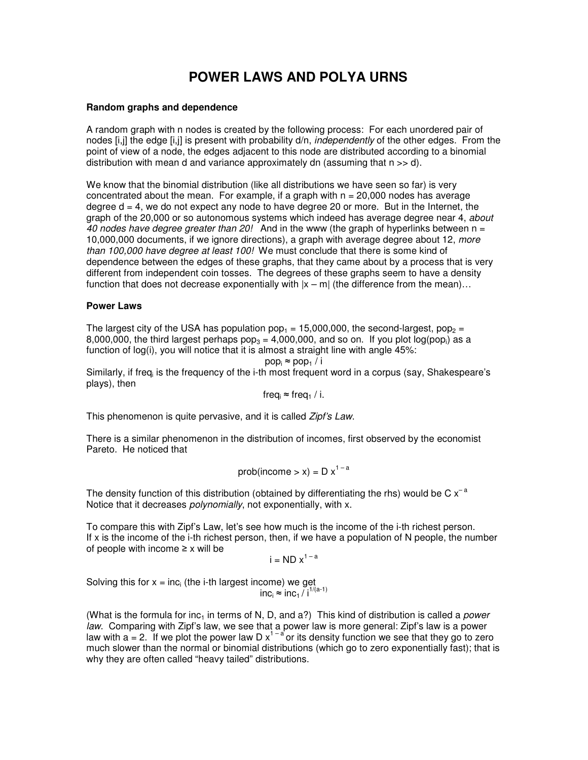## **POWER LAWS AND POLYA URNS**

## **Random graphs and dependence**

A random graph with n nodes is created by the following process: For each unordered pair of nodes [i,j] the edge [i,j] is present with probability  $d/n$ , *independently* of the other edges. From the point of view of a node, the edges adjacent to this node are distributed according to a binomial distribution with mean d and variance approximately dn (assuming that  $n \gg d$ ).

We know that the binomial distribution (like all distributions we have seen so far) is very concentrated about the mean. For example, if a graph with  $n = 20,000$  nodes has average degree  $d = 4$ , we do not expect any node to have degree 20 or more. But in the Internet, the graph of the 20,000 or so autonomous systems which indeed has average degree near 4, about 40 nodes have degree greater than 20! And in the www (the graph of hyperlinks between  $n =$ 10,000,000 documents, if we ignore directions), a graph with average degree about 12, more than 100,000 have degree at least 100! We must conclude that there is some kind of dependence between the edges of these graphs, that they came about by a process that is very different from independent coin tosses. The degrees of these graphs seem to have a density function that does not decrease exponentially with  $|x - m|$  (the difference from the mean)...

## **Power Laws**

The largest city of the USA has population  $pop_1 = 15,000,000$ , the second-largest,  $pop_2 =$ 8,000,000, the third largest perhaps  $pop_3 = 4,000,000$ , and so on. If you plot log(pop) as a function of log(i), you will notice that it is almost a straight line with angle 45%:

$$
pop_i \approx pop_1 / i
$$

Similarly, if freq<sub>i</sub> is the frequency of the i-th most frequent word in a corpus (say, Shakespeare's plays), then

freq<sub>i</sub>  $\approx$  freq<sub>1</sub> / i.

This phenomenon is quite pervasive, and it is called Zipf's Law.

There is a similar phenomenon in the distribution of incomes, first observed by the economist Pareto. He noticed that

$$
prob(income > x) = Dx^{1-a}
$$

The density function of this distribution (obtained by differentiating the rhs) would be C  $x^{-a}$ Notice that it decreases *polynomially*, not exponentially, with x.

To compare this with Zipf's Law, let's see how much is the income of the i-th richest person. If x is the income of the i-th richest person, then, if we have a population of N people, the number of people with income  $\geq$  x will be

$$
i = \mathsf{ND} \ x^{1-a}
$$

Solving this for  $x = inc_i$  (the i-th largest income) we get  $inc<sub>i</sub> ≈ inc<sub>1</sub> / i<sup>1/(a-1)</sup>$ 

(What is the formula for inc<sub>1</sub> in terms of N, D, and a?) This kind of distribution is called a *power* law. Comparing with Zipf's law, we see that a power law is more general: Zipf's law is a power law with a = 2. If we plot the power law D  $x^{1-a}$  or its density function we see that they go to zero much slower than the normal or binomial distributions (which go to zero exponentially fast); that is why they are often called "heavy tailed" distributions.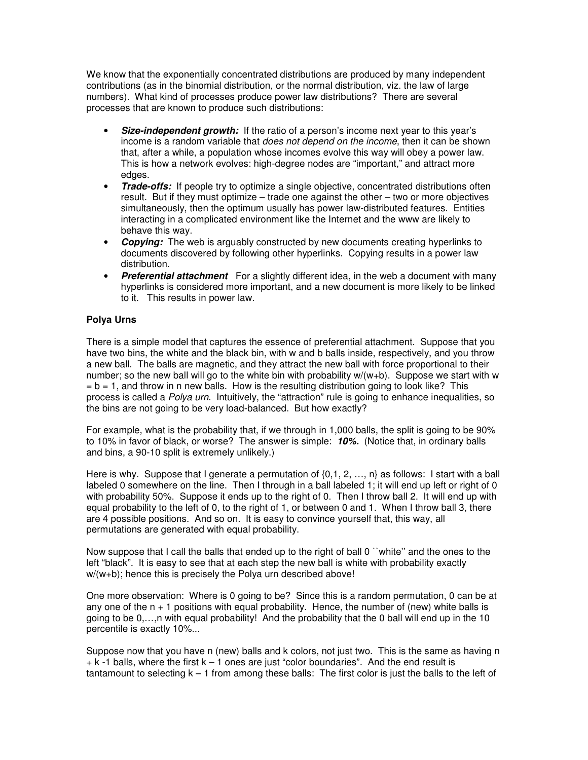We know that the exponentially concentrated distributions are produced by many independent contributions (as in the binomial distribution, or the normal distribution, viz. the law of large numbers). What kind of processes produce power law distributions? There are several processes that are known to produce such distributions:

- **Size-independent growth:** If the ratio of a person's income next year to this year's income is a random variable that does not depend on the income, then it can be shown that, after a while, a population whose incomes evolve this way will obey a power law. This is how a network evolves: high-degree nodes are "important," and attract more edges.
- **Trade-offs:** If people try to optimize a single objective, concentrated distributions often result. But if they must optimize – trade one against the other – two or more objectives simultaneously, then the optimum usually has power law-distributed features. Entities interacting in a complicated environment like the Internet and the www are likely to behave this way.
- **Copying:** The web is arguably constructed by new documents creating hyperlinks to documents discovered by following other hyperlinks. Copying results in a power law distribution.
- **Preferential attachment** For a slightly different idea, in the web a document with many hyperlinks is considered more important, and a new document is more likely to be linked to it. This results in power law.

## **Polya Urns**

There is a simple model that captures the essence of preferential attachment. Suppose that you have two bins, the white and the black bin, with w and b balls inside, respectively, and you throw a new ball. The balls are magnetic, and they attract the new ball with force proportional to their number; so the new ball will go to the white bin with probability  $w/(w+b)$ . Suppose we start with w  $= b = 1$ , and throw in n new balls. How is the resulting distribution going to look like? This process is called a Polya urn. Intuitively, the "attraction" rule is going to enhance inequalities, so the bins are not going to be very load-balanced. But how exactly?

For example, what is the probability that, if we through in 1,000 balls, the split is going to be 90% to 10% in favor of black, or worse? The answer is simple: **10%.** (Notice that, in ordinary balls and bins, a 90-10 split is extremely unlikely.)

Here is why. Suppose that I generate a permutation of  $\{0,1, 2, ..., n\}$  as follows: I start with a ball labeled 0 somewhere on the line. Then I through in a ball labeled 1; it will end up left or right of 0 with probability 50%. Suppose it ends up to the right of 0. Then I throw ball 2. It will end up with equal probability to the left of 0, to the right of 1, or between 0 and 1. When I throw ball 3, there are 4 possible positions. And so on. It is easy to convince yourself that, this way, all permutations are generated with equal probability.

Now suppose that I call the balls that ended up to the right of ball 0 ``white'' and the ones to the left "black". It is easy to see that at each step the new ball is white with probability exactly w/(w+b); hence this is precisely the Polya urn described above!

One more observation: Where is 0 going to be? Since this is a random permutation, 0 can be at any one of the  $n + 1$  positions with equal probability. Hence, the number of (new) white balls is going to be 0,…,n with equal probability! And the probability that the 0 ball will end up in the 10 percentile is exactly 10%...

Suppose now that you have n (new) balls and k colors, not just two. This is the same as having n  $+ k - 1$  balls, where the first  $k - 1$  ones are just "color boundaries". And the end result is tantamount to selecting  $k - 1$  from among these balls: The first color is just the balls to the left of